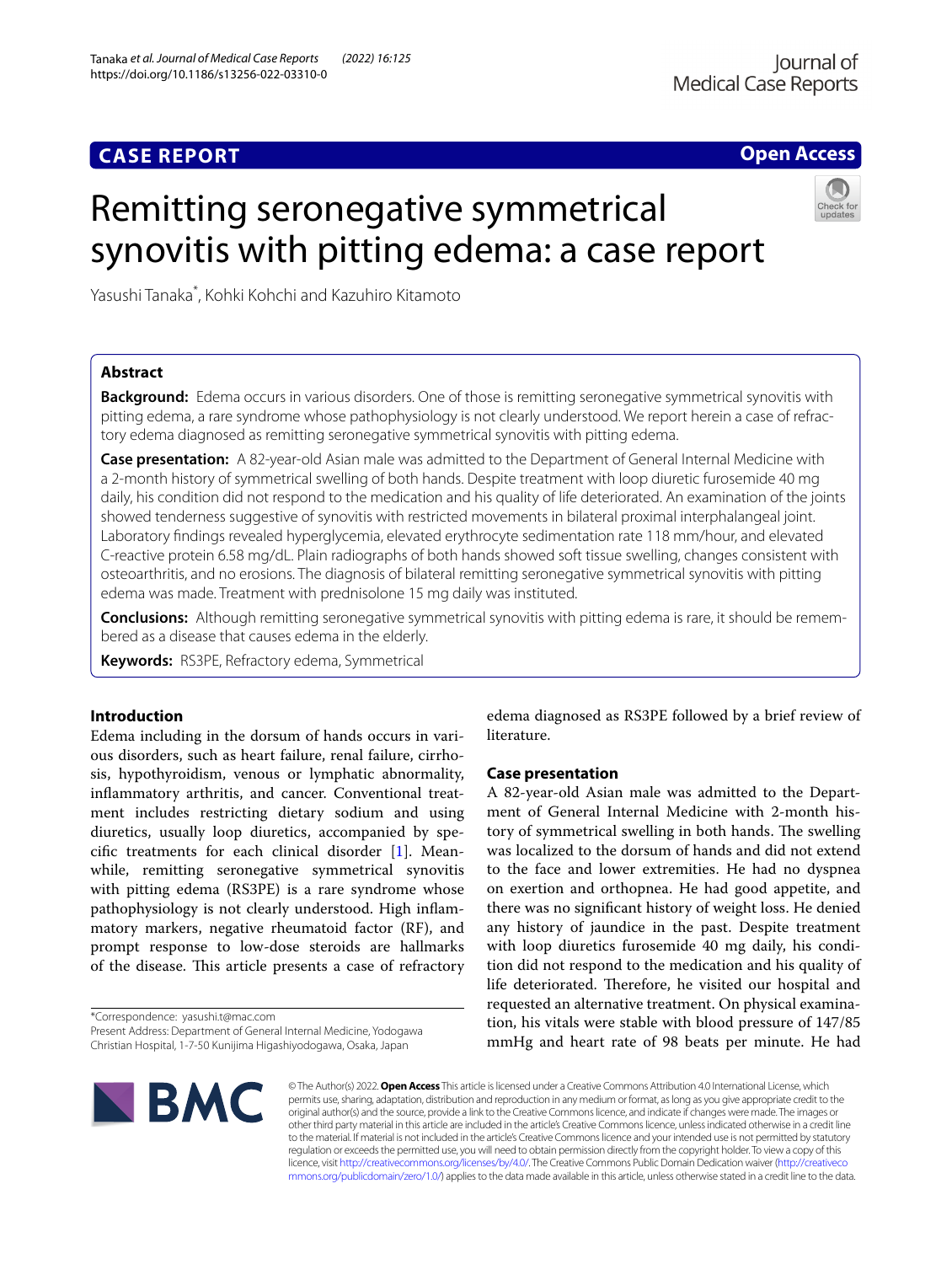# **CASE REPORT**

# **Open Access**

# Remitting seronegative symmetrical synovitis with pitting edema: a case report

Yasushi Tanaka\* , Kohki Kohchi and Kazuhiro Kitamoto

# **Abstract**

**Background:** Edema occurs in various disorders. One of those is remitting seronegative symmetrical synovitis with pitting edema, a rare syndrome whose pathophysiology is not clearly understood. We report herein a case of refractory edema diagnosed as remitting seronegative symmetrical synovitis with pitting edema.

**Case presentation:** A 82-year-old Asian male was admitted to the Department of General Internal Medicine with a 2-month history of symmetrical swelling of both hands. Despite treatment with loop diuretic furosemide 40 mg daily, his condition did not respond to the medication and his quality of life deteriorated. An examination of the joints showed tenderness suggestive of synovitis with restricted movements in bilateral proximal interphalangeal joint. Laboratory fndings revealed hyperglycemia, elevated erythrocyte sedimentation rate 118 mm/hour, and elevated C-reactive protein 6.58 mg/dL. Plain radiographs of both hands showed soft tissue swelling, changes consistent with osteoarthritis, and no erosions. The diagnosis of bilateral remitting seronegative symmetrical synovitis with pitting edema was made. Treatment with prednisolone 15 mg daily was instituted.

**Conclusions:** Although remitting seronegative symmetrical synovitis with pitting edema is rare, it should be remembered as a disease that causes edema in the elderly.

**Keywords:** RS3PE, Refractory edema, Symmetrical

## **Introduction**

Edema including in the dorsum of hands occurs in various disorders, such as heart failure, renal failure, cirrhosis, hypothyroidism, venous or lymphatic abnormality, infammatory arthritis, and cancer. Conventional treatment includes restricting dietary sodium and using diuretics, usually loop diuretics, accompanied by specifc treatments for each clinical disorder [[1\]](#page-2-0). Meanwhile, remitting seronegative symmetrical synovitis with pitting edema (RS3PE) is a rare syndrome whose pathophysiology is not clearly understood. High infammatory markers, negative rheumatoid factor (RF), and prompt response to low-dose steroids are hallmarks of the disease. This article presents a case of refractory

\*Correspondence: yasushi.t@mac.com

edema diagnosed as RS3PE followed by a brief review of literature.

## **Case presentation**

A 82-year-old Asian male was admitted to the Department of General Internal Medicine with 2-month history of symmetrical swelling in both hands. The swelling was localized to the dorsum of hands and did not extend to the face and lower extremities. He had no dyspnea on exertion and orthopnea. He had good appetite, and there was no signifcant history of weight loss. He denied any history of jaundice in the past. Despite treatment with loop diuretics furosemide 40 mg daily, his condition did not respond to the medication and his quality of life deteriorated. Therefore, he visited our hospital and requested an alternative treatment. On physical examination, his vitals were stable with blood pressure of 147/85 mmHg and heart rate of 98 beats per minute. He had



© The Author(s) 2022. **Open Access** This article is licensed under a Creative Commons Attribution 4.0 International License, which permits use, sharing, adaptation, distribution and reproduction in any medium or format, as long as you give appropriate credit to the original author(s) and the source, provide a link to the Creative Commons licence, and indicate if changes were made. The images or other third party material in this article are included in the article's Creative Commons licence, unless indicated otherwise in a credit line to the material. If material is not included in the article's Creative Commons licence and your intended use is not permitted by statutory regulation or exceeds the permitted use, you will need to obtain permission directly from the copyright holder. To view a copy of this licence, visit [http://creativecommons.org/licenses/by/4.0/.](http://creativecommons.org/licenses/by/4.0/) The Creative Commons Public Domain Dedication waiver ([http://creativeco](http://creativecommons.org/publicdomain/zero/1.0/) [mmons.org/publicdomain/zero/1.0/](http://creativecommons.org/publicdomain/zero/1.0/)) applies to the data made available in this article, unless otherwise stated in a credit line to the data.

Present Address: Department of General Internal Medicine, Yodogawa Christian Hospital, 1-7-50 Kunijima Higashiyodogawa, Osaka, Japan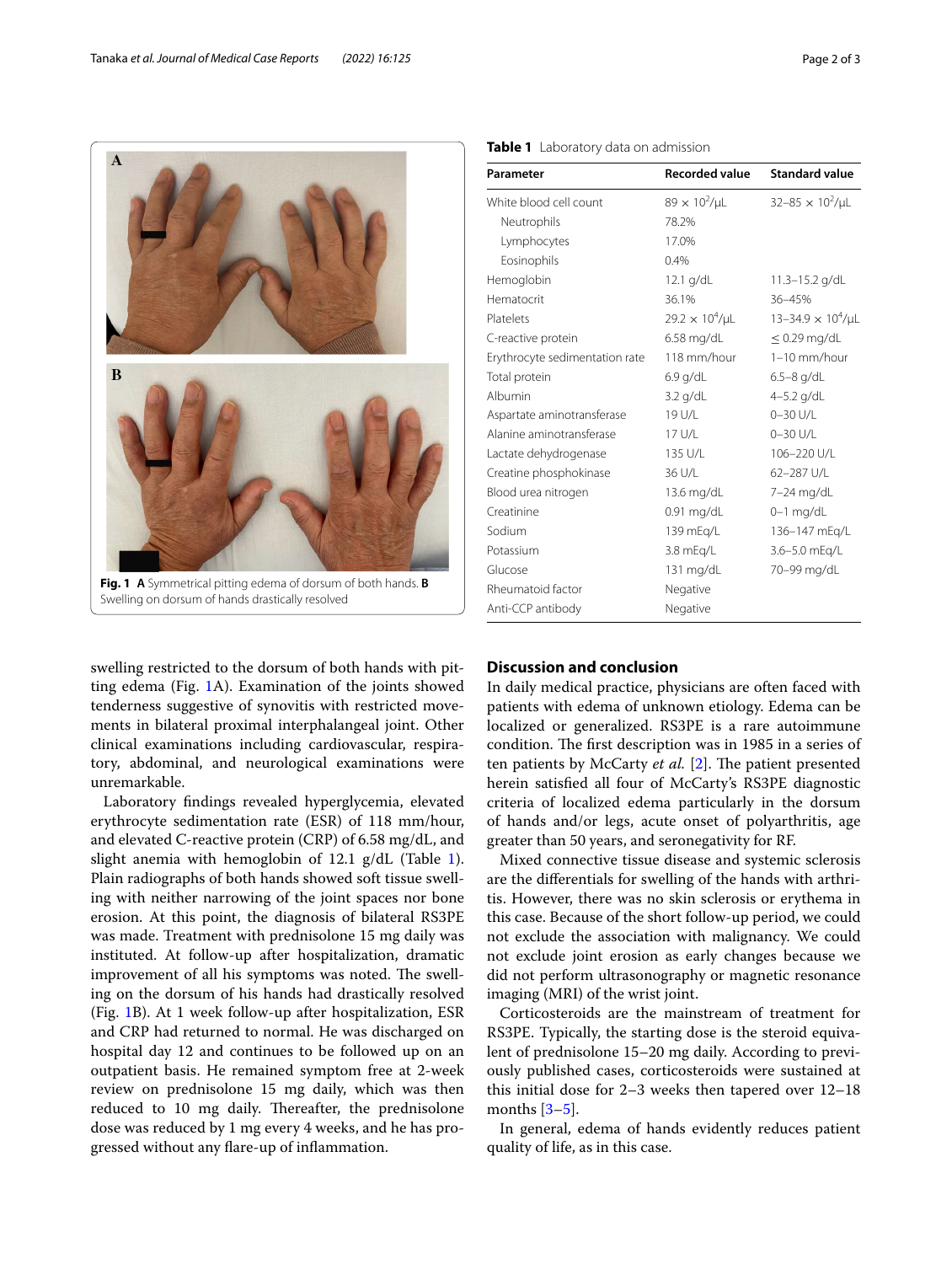

<span id="page-1-0"></span>Swelling on dorsum of hands drastically resolved

swelling restricted to the dorsum of both hands with pitting edema (Fig. [1](#page-1-0)A). Examination of the joints showed tenderness suggestive of synovitis with restricted movements in bilateral proximal interphalangeal joint. Other clinical examinations including cardiovascular, respiratory, abdominal, and neurological examinations were unremarkable.

Laboratory fndings revealed hyperglycemia, elevated erythrocyte sedimentation rate (ESR) of 118 mm/hour, and elevated C-reactive protein (CRP) of 6.58 mg/dL, and slight anemia with hemoglobin of  $12.1$  $12.1$  g/dL (Table 1). Plain radiographs of both hands showed soft tissue swelling with neither narrowing of the joint spaces nor bone erosion. At this point, the diagnosis of bilateral RS3PE was made. Treatment with prednisolone 15 mg daily was instituted. At follow-up after hospitalization, dramatic improvement of all his symptoms was noted. The swelling on the dorsum of his hands had drastically resolved (Fig. [1B](#page-1-0)). At 1 week follow-up after hospitalization, ESR and CRP had returned to normal. He was discharged on hospital day 12 and continues to be followed up on an outpatient basis. He remained symptom free at 2-week review on prednisolone 15 mg daily, which was then reduced to 10 mg daily. Thereafter, the prednisolone dose was reduced by 1 mg every 4 weeks, and he has progressed without any fare-up of infammation.

| Parameter                      | <b>Recorded value</b>    | <b>Standard value</b>         |
|--------------------------------|--------------------------|-------------------------------|
| White blood cell count         | $89 \times 10^{2}$ /µL   | $32 - 85 \times 10^2/\mu L$   |
| Neutrophils                    | 78.2%                    |                               |
| Lymphocytes                    | 17.0%                    |                               |
| Eosinophils                    | 0.4%                     |                               |
| Hemoglobin                     | $12.1$ g/dL              | 11.3-15.2 g/dL                |
| Hematocrit                     | 36.1%                    | 36-45%                        |
| Platelets                      | $29.2 \times 10^4/\mu L$ | $13 - 34.9 \times 10^4/\mu L$ |
| C-reactive protein             | 6.58 mg/dL               | $\leq$ 0.29 mg/dL             |
| Erythrocyte sedimentation rate | 118 mm/hour              | $1-10$ mm/hour                |
| Total protein                  | $6.9$ g/dL               | 6.5-8 g/dL                    |
| Albumin                        | 3.2 g/dL                 | $4 - 5.2$ g/dL                |
| Aspartate aminotransferase     | 19 U/L                   | $0 - 30$ U/L                  |
| Alanine aminotransferase       | 17 U/L                   | 0-30 U/L                      |
| Lactate dehydrogenase          | 135 U/L                  | 106-220 U/L                   |
| Creatine phosphokinase         | 36 U/L                   | 62-287 U/L                    |
| Blood urea nitrogen            | 13.6 mg/dL               | 7-24 mg/dL                    |
| Creatinine                     | 0.91 mg/dL               | $0-1$ mg/dL                   |
| Sodium                         | 139 mEg/L                | 136-147 mEq/L                 |
| Potassium                      | 3.8 mEg/L                | 3.6-5.0 mEg/L                 |
| Glucose                        | 131 mg/dL                | 70-99 mg/dL                   |
| Rheumatoid factor              | Negative                 |                               |
| Anti-CCP antibody              | Negative                 |                               |

<span id="page-1-1"></span>**Table 1** Laboratory data on admission

## **Discussion and conclusion**

In daily medical practice, physicians are often faced with patients with edema of unknown etiology. Edema can be localized or generalized. RS3PE is a rare autoimmune condition. The first description was in 1985 in a series of ten patients by McCarty *et al.* [\[2\]](#page-2-1). The patient presented herein satisfed all four of McCarty's RS3PE diagnostic criteria of localized edema particularly in the dorsum of hands and/or legs, acute onset of polyarthritis, age greater than 50 years, and seronegativity for RF.

Mixed connective tissue disease and systemic sclerosis are the diferentials for swelling of the hands with arthritis. However, there was no skin sclerosis or erythema in this case. Because of the short follow-up period, we could not exclude the association with malignancy. We could not exclude joint erosion as early changes because we did not perform ultrasonography or magnetic resonance imaging (MRI) of the wrist joint.

Corticosteroids are the mainstream of treatment for RS3PE. Typically, the starting dose is the steroid equivalent of prednisolone 15–20 mg daily. According to previously published cases, corticosteroids were sustained at this initial dose for 2–3 weeks then tapered over 12–18 months  $[3-5]$  $[3-5]$ .

In general, edema of hands evidently reduces patient quality of life, as in this case.